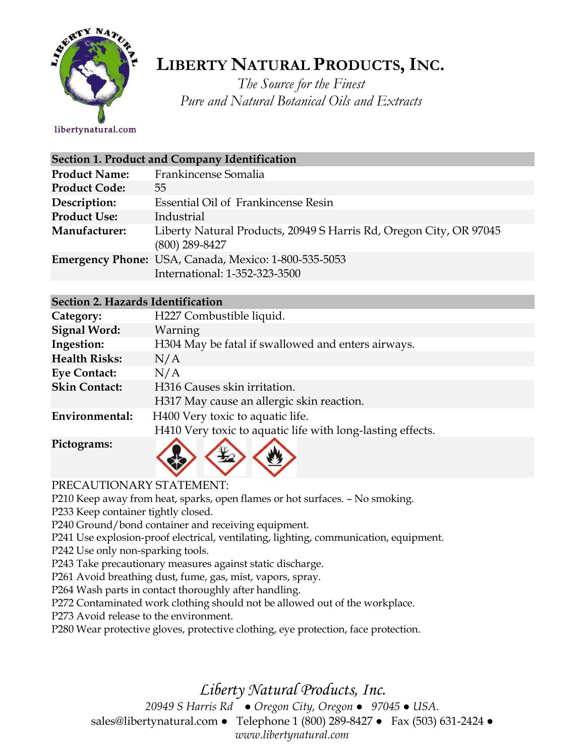

# **LIBERTY NATURAL PRODUCTS,INC.**

*The Source for the Finest Pure and Natural Botanical Oils and Extracts*

libertynatural.com

| Section 1. Product and Company Identification |                                                                                        |  |
|-----------------------------------------------|----------------------------------------------------------------------------------------|--|
| <b>Product Name:</b>                          | Frankincense Somalia                                                                   |  |
| <b>Product Code:</b>                          | 55                                                                                     |  |
| Description:                                  | Essential Oil of Frankincense Resin                                                    |  |
| <b>Product Use:</b>                           | Industrial                                                                             |  |
| Manufacturer:                                 | Liberty Natural Products, 20949 S Harris Rd, Oregon City, OR 97045<br>$(800)$ 289-8427 |  |
|                                               | Emergency Phone: USA, Canada, Mexico: 1-800-535-5053<br>International: 1-352-323-3500  |  |

#### **Section 2. Hazards Identification**

| Category:            | H227 Combustible liquid.                                   |
|----------------------|------------------------------------------------------------|
| <b>Signal Word:</b>  | Warning                                                    |
| Ingestion:           | H304 May be fatal if swallowed and enters airways.         |
| <b>Health Risks:</b> | N/A                                                        |
| <b>Eye Contact:</b>  | N/A                                                        |
| <b>Skin Contact:</b> | H316 Causes skin irritation.                               |
|                      | H317 May cause an allergic skin reaction.                  |
| Environmental:       | H400 Very toxic to aquatic life.                           |
|                      | H410 Very toxic to aquatic life with long-lasting effects. |
| Pictograms:          |                                                            |

PRECAUTIONARY STATEMENT:

P210 Keep away from heat, sparks, open flames or hot surfaces. – No smoking.

P233 Keep container tightly closed.

P240 Ground/bond container and receiving equipment.

P241 Use explosion-proof electrical, ventilating, lighting, communication, equipment.

P242 Use only non-sparking tools.

P243 Take precautionary measures against static discharge.

P261 Avoid breathing dust, fume, gas, mist, vapors, spray.

P264 Wash parts in contact thoroughly after handling.

P272 Contaminated work clothing should not be allowed out of the workplace.

P273 Avoid release to the environment.

P280 Wear protective gloves, protective clothing, eye protection, face protection.

# *Liberty Natural Products, Inc.*

*20949 S Harris Rd ● Oregon City, Oregon ● 97045 ● USA.*  sales@libertynatural.com *●* Telephone 1 (800) 289-8427 ● Fax (503) 631-2424 *● www.libertynatural.com*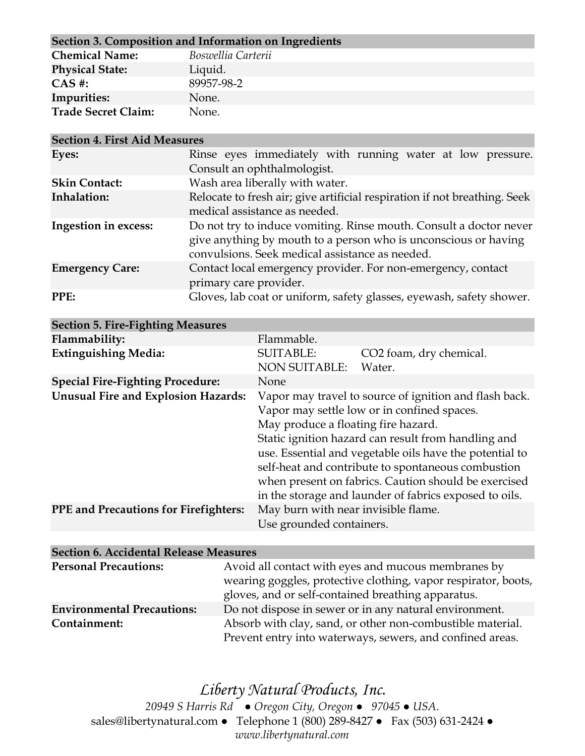| Section 3. Composition and Information on Ingredients |                    |  |
|-------------------------------------------------------|--------------------|--|
| <b>Chemical Name:</b>                                 | Boswellia Carterii |  |
| <b>Physical State:</b>                                | Liquid.            |  |
| $CAS$ #:                                              | 89957-98-2         |  |
| Impurities:                                           | None.              |  |
| <b>Trade Secret Claim:</b>                            | None.              |  |

| <b>Section 4. First Aid Measures</b> |                                                                           |
|--------------------------------------|---------------------------------------------------------------------------|
| Eyes:                                | Rinse eyes immediately with running water at low pressure.                |
|                                      | Consult an ophthalmologist.                                               |
| <b>Skin Contact:</b>                 | Wash area liberally with water.                                           |
| Inhalation:                          | Relocate to fresh air; give artificial respiration if not breathing. Seek |
|                                      | medical assistance as needed.                                             |
| Ingestion in excess:                 | Do not try to induce vomiting. Rinse mouth. Consult a doctor never        |
|                                      | give anything by mouth to a person who is unconscious or having           |
|                                      | convulsions. Seek medical assistance as needed.                           |
| <b>Emergency Care:</b>               | Contact local emergency provider. For non-emergency, contact              |
|                                      | primary care provider.                                                    |
| PPE:                                 | Gloves, lab coat or uniform, safety glasses, eyewash, safety shower.      |

| <b>Section 5. Fire-Fighting Measures</b>     |                                                                                                                                                                                                                                                                                                                                                                                                                                        |                                               |
|----------------------------------------------|----------------------------------------------------------------------------------------------------------------------------------------------------------------------------------------------------------------------------------------------------------------------------------------------------------------------------------------------------------------------------------------------------------------------------------------|-----------------------------------------------|
| Flammability:                                | Flammable.                                                                                                                                                                                                                                                                                                                                                                                                                             |                                               |
| <b>Extinguishing Media:</b>                  | <b>SUITABLE:</b><br><b>NON SUITABLE:</b>                                                                                                                                                                                                                                                                                                                                                                                               | CO <sub>2</sub> foam, dry chemical.<br>Water. |
| <b>Special Fire-Fighting Procedure:</b>      | None                                                                                                                                                                                                                                                                                                                                                                                                                                   |                                               |
| <b>Unusual Fire and Explosion Hazards:</b>   | Vapor may travel to source of ignition and flash back.<br>Vapor may settle low or in confined spaces.<br>May produce a floating fire hazard.<br>Static ignition hazard can result from handling and<br>use. Essential and vegetable oils have the potential to<br>self-heat and contribute to spontaneous combustion<br>when present on fabrics. Caution should be exercised<br>in the storage and launder of fabrics exposed to oils. |                                               |
| <b>PPE</b> and Precautions for Firefighters: | May burn with near invisible flame.<br>Use grounded containers.                                                                                                                                                                                                                                                                                                                                                                        |                                               |
|                                              |                                                                                                                                                                                                                                                                                                                                                                                                                                        |                                               |

## **Section 6. Accidental Release Measures**

| <b>Personal Precautions:</b>      | Avoid all contact with eyes and mucous membranes by            |  |
|-----------------------------------|----------------------------------------------------------------|--|
|                                   | wearing goggles, protective clothing, vapor respirator, boots, |  |
|                                   | gloves, and or self-contained breathing apparatus.             |  |
| <b>Environmental Precautions:</b> | Do not dispose in sewer or in any natural environment.         |  |
| Containment:                      | Absorb with clay, sand, or other non-combustible material.     |  |
|                                   | Prevent entry into waterways, sewers, and confined areas.      |  |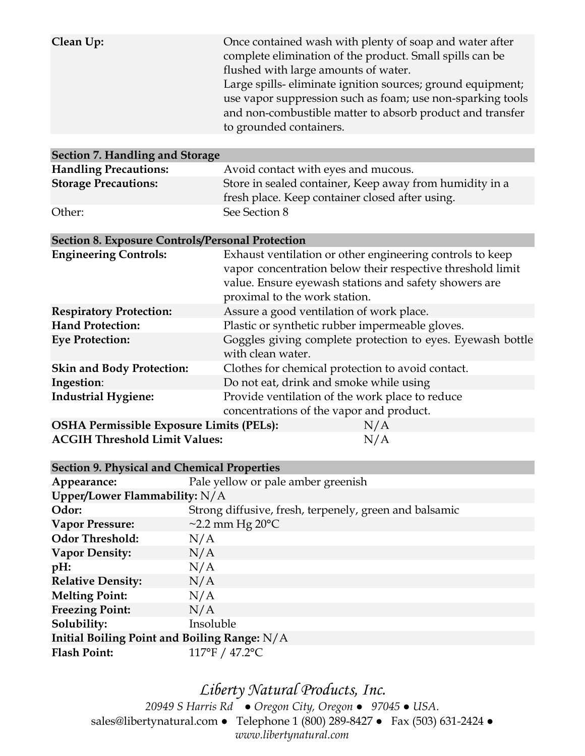| Clean Up: | Once contained wash with plenty of soap and water after    |
|-----------|------------------------------------------------------------|
|           | complete elimination of the product. Small spills can be   |
|           | flushed with large amounts of water.                       |
|           | Large spills-eliminate ignition sources; ground equipment; |
|           | use vapor suppression such as foam; use non-sparking tools |
|           | and non-combustible matter to absorb product and transfer  |
|           | to grounded containers.                                    |
|           |                                                            |

| Section 7. Handling and Storage |                                                                                                            |  |
|---------------------------------|------------------------------------------------------------------------------------------------------------|--|
| <b>Handling Precautions:</b>    | Avoid contact with eyes and mucous.                                                                        |  |
| <b>Storage Precautions:</b>     | Store in sealed container, Keep away from humidity in a<br>fresh place. Keep container closed after using. |  |
| Other:                          | See Section 8                                                                                              |  |

#### **Section 8. Exposure Controls/Personal Protection**

| <b>Engineering Controls:</b>                    | Exhaust ventilation or other engineering controls to keep<br>vapor concentration below their respective threshold limit<br>value. Ensure eyewash stations and safety showers are<br>proximal to the work station. |
|-------------------------------------------------|-------------------------------------------------------------------------------------------------------------------------------------------------------------------------------------------------------------------|
| <b>Respiratory Protection:</b>                  | Assure a good ventilation of work place.                                                                                                                                                                          |
| <b>Hand Protection:</b>                         | Plastic or synthetic rubber impermeable gloves.                                                                                                                                                                   |
| <b>Eye Protection:</b>                          | Goggles giving complete protection to eyes. Eyewash bottle<br>with clean water.                                                                                                                                   |
| <b>Skin and Body Protection:</b>                | Clothes for chemical protection to avoid contact.                                                                                                                                                                 |
| Ingestion:                                      | Do not eat, drink and smoke while using                                                                                                                                                                           |
| <b>Industrial Hygiene:</b>                      | Provide ventilation of the work place to reduce<br>concentrations of the vapor and product.                                                                                                                       |
| <b>OSHA Permissible Exposure Limits (PELs):</b> | N/A                                                                                                                                                                                                               |
|                                                 |                                                                                                                                                                                                                   |

| <b>ACGIH Threshold Limit Values:</b> | N/A |
|--------------------------------------|-----|
|                                      |     |

| <b>Section 9. Physical and Chemical Properties</b> |                                                        |  |
|----------------------------------------------------|--------------------------------------------------------|--|
| Appearance:                                        | Pale yellow or pale amber greenish                     |  |
| Upper/Lower Flammability: $N/A$                    |                                                        |  |
| Odor:                                              | Strong diffusive, fresh, terpenely, green and balsamic |  |
| Vapor Pressure:                                    | $\sim$ 2.2 mm Hg 20 $\rm ^{o}C$                        |  |
| <b>Odor Threshold:</b>                             | N/A                                                    |  |
| <b>Vapor Density:</b>                              | N/A                                                    |  |
| pH:                                                | N/A                                                    |  |
| <b>Relative Density:</b>                           | N/A                                                    |  |
| <b>Melting Point:</b>                              | N/A                                                    |  |
| <b>Freezing Point:</b>                             | N/A                                                    |  |
| Solubility:                                        | Insoluble                                              |  |
| Initial Boiling Point and Boiling Range: $N/A$     |                                                        |  |
| <b>Flash Point:</b>                                | 117°F / 47.2°C                                         |  |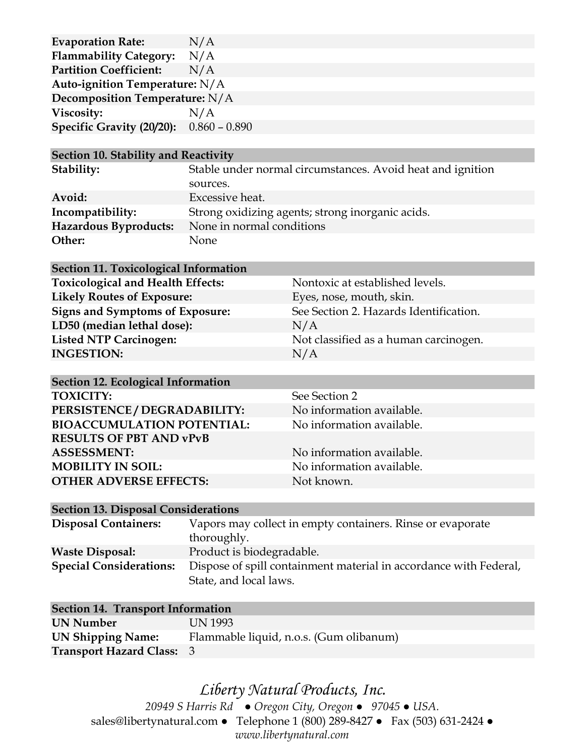| <b>Evaporation Rate:</b>       | N/A             |  |
|--------------------------------|-----------------|--|
| <b>Flammability Category:</b>  | N/A             |  |
| <b>Partition Coefficient:</b>  | N/A             |  |
| Auto-ignition Temperature: N/A |                 |  |
| Decomposition Temperature: N/A |                 |  |
| Viscosity:                     | N/A             |  |
| Specific Gravity (20/20):      | $0.860 - 0.890$ |  |
|                                |                 |  |

#### **Section 10. Stability and Reactivity**

| Stability:            | Stable under normal circumstances. Avoid heat and ignition |
|-----------------------|------------------------------------------------------------|
|                       | sources.                                                   |
| Avoid:                | Excessive heat.                                            |
| Incompatibility:      | Strong oxidizing agents; strong inorganic acids.           |
| Hazardous Byproducts: | None in normal conditions                                  |
| Other:                | None                                                       |

#### **Section 11. Toxicological Information**

Toxicological and Health Effects: Nontoxic at established levels. **Likely Routes of Exposure:** Eyes, nose, mouth, skin. LD50 (median lethal dose): N/A **INGESTION:** N/A

**Signs and Symptoms of Exposure:** See Section 2. Hazards Identification. Listed NTP Carcinogen: Not classified as a human carcinogen.

| <b>Section 12. Ecological Information</b> |                           |  |  |  |
|-------------------------------------------|---------------------------|--|--|--|
| <b>TOXICITY:</b>                          | See Section 2             |  |  |  |
| PERSISTENCE / DEGRADABILITY:              | No information available. |  |  |  |
| <b>BIOACCUMULATION POTENTIAL:</b>         | No information available. |  |  |  |
| <b>RESULTS OF PBT AND vPvB</b>            |                           |  |  |  |
| <b>ASSESSMENT:</b>                        | No information available. |  |  |  |
| <b>MOBILITY IN SOIL:</b>                  | No information available. |  |  |  |
| <b>OTHER ADVERSE EFFECTS:</b>             | Not known.                |  |  |  |

#### **Section 13. Disposal Considerations**

| <b>Disposal Containers:</b>    | Vapors may collect in empty containers. Rinse or evaporate        |  |
|--------------------------------|-------------------------------------------------------------------|--|
|                                | thoroughly.                                                       |  |
| <b>Waste Disposal:</b>         | Product is biodegradable.                                         |  |
| <b>Special Considerations:</b> | Dispose of spill containment material in accordance with Federal, |  |
|                                | State, and local laws.                                            |  |

| <b>Section 14. Transport Information</b> |                                         |  |  |
|------------------------------------------|-----------------------------------------|--|--|
| UN Number                                | UN 1993                                 |  |  |
| <b>UN Shipping Name:</b>                 | Flammable liquid, n.o.s. (Gum olibanum) |  |  |
| <b>Transport Hazard Class: 3</b>         |                                         |  |  |